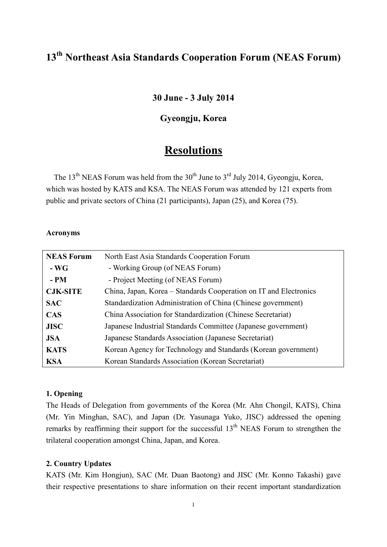# **13th Northeast Asia Standards Cooperation Forum (NEAS Forum)**

## **30 June - 3 July 2014**

## **Gyeongju, Korea**

## **Resolutions**

The 13<sup>th</sup> NEAS Forum was held from the 30<sup>th</sup> June to 3<sup>rd</sup> July 2014, Gyeongju, Korea, which was hosted by KATS and KSA. The NEAS Forum was attended by 121 experts from public and private sectors of China (21 participants), Japan (25), and Korea (75).

#### **Acronyms**

| <b>NEAS Forum</b> | North East Asia Standards Cooperation Forum                       |
|-------------------|-------------------------------------------------------------------|
| $-WG$             | - Working Group (of NEAS Forum)                                   |
| $- PM$            | - Project Meeting (of NEAS Forum)                                 |
| <b>CJK-SITE</b>   | China, Japan, Korea – Standards Cooperation on IT and Electronics |
| <b>SAC</b>        | Standardization Administration of China (Chinese government)      |
| <b>CAS</b>        | China Association for Standardization (Chinese Secretariat)       |
| <b>JISC</b>       | Japanese Industrial Standards Committee (Japanese government)     |
| <b>JSA</b>        | Japanese Standards Association (Japanese Secretariat)             |
| <b>KATS</b>       | Korean Agency for Technology and Standards (Korean government)    |
| <b>KSA</b>        | Korean Standards Association (Korean Secretariat)                 |

#### **1. Opening**

The Heads of Delegation from governments of the Korea (Mr. Ahn Chongil, KATS), China (Mr. Yin Minghan, SAC), and Japan (Dr. Yasunaga Yuko, JISC) addressed the opening remarks by reaffirming their support for the successful  $13<sup>th</sup>$  NEAS Forum to strengthen the trilateral cooperation amongst China, Japan, and Korea.

#### **2. Country Updates**

KATS (Mr. Kim Hongjun), SAC (Mr. Duan Baotong) and JISC (Mr. Konno Takashi) gave their respective presentations to share information on their recent important standardization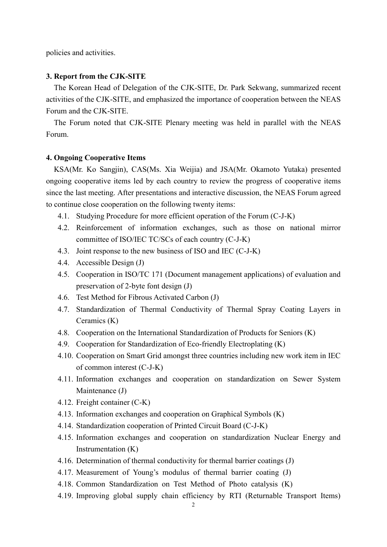policies and activities.

#### **3. Report from the CJK-SITE**

The Korean Head of Delegation of the CJK-SITE, Dr. Park Sekwang, summarized recent activities of the CJK-SITE, and emphasized the importance of cooperation between the NEAS Forum and the CJK-SITE.

The Forum noted that CJK-SITE Plenary meeting was held in parallel with the NEAS Forum.

#### **4. Ongoing Cooperative Items**

KSA(Mr. Ko Sangjin), CAS(Ms. Xia Weijia) and JSA(Mr. Okamoto Yutaka) presented ongoing cooperative items led by each country to review the progress of cooperative items since the last meeting. After presentations and interactive discussion, the NEAS Forum agreed to continue close cooperation on the following twenty items:

- 4.1. Studying Procedure for more efficient operation of the Forum (C-J-K)
- 4.2. Reinforcement of information exchanges, such as those on national mirror committee of ISO/IEC TC/SCs of each country (C-J-K)
- 4.3. Joint response to the new business of ISO and IEC (C-J-K)
- 4.4. Accessible Design (J)
- 4.5. Cooperation in ISO/TC 171 (Document management applications) of evaluation and preservation of 2-byte font design (J)
- 4.6. Test Method for Fibrous Activated Carbon (J)
- 4.7. Standardization of Thermal Conductivity of Thermal Spray Coating Layers in Ceramics (K)
- 4.8. Cooperation on the International Standardization of Products for Seniors (K)
- 4.9. Cooperation for Standardization of Eco-friendly Electroplating (K)
- 4.10. Cooperation on Smart Grid amongst three countries including new work item in IEC of common interest (C-J-K)
- 4.11. Information exchanges and cooperation on standardization on Sewer System Maintenance (J)
- 4.12. Freight container (C-K)
- 4.13. Information exchanges and cooperation on Graphical Symbols (K)
- 4.14. Standardization cooperation of Printed Circuit Board (C-J-K)
- 4.15. Information exchanges and cooperation on standardization Nuclear Energy and Instrumentation (K)
- 4.16. Determination of thermal conductivity for thermal barrier coatings (J)
- 4.17. Measurement of Young's modulus of thermal barrier coating (J)
- 4.18. Common Standardization on Test Method of Photo catalysis (K)
- 4.19. Improving global supply chain efficiency by RTI (Returnable Transport Items)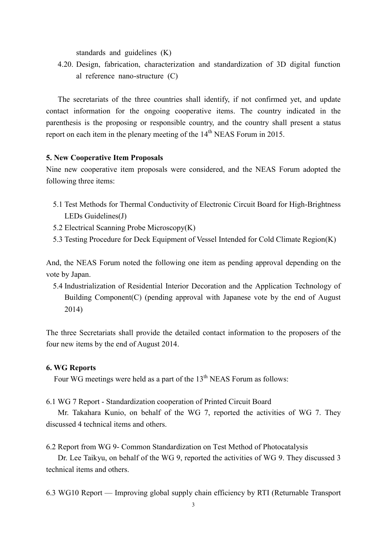standards and guidelines (K)

4.20. Design, fabrication, characterization and standardization of 3D digital function al reference nano-structure (C)

The secretariats of the three countries shall identify, if not confirmed yet, and update contact information for the ongoing cooperative items. The country indicated in the parenthesis is the proposing or responsible country, and the country shall present a status report on each item in the plenary meeting of the  $14<sup>th</sup>$  NEAS Forum in 2015.

#### **5. New Cooperative Item Proposals**

Nine new cooperative item proposals were considered, and the NEAS Forum adopted the following three items:

- 5.1 Test Methods for Thermal Conductivity of Electronic Circuit Board for High-Brightness LEDs Guidelines(J)
- 5.2 Electrical Scanning Probe Microscopy(K)
- 5.3 Testing Procedure for Deck Equipment of Vessel Intended for Cold Climate Region(K)

And, the NEAS Forum noted the following one item as pending approval depending on the vote by Japan.

5.4 Industrialization of Residential Interior Decoration and the Application Technology of Building Component(C) (pending approval with Japanese vote by the end of August 2014)

The three Secretariats shall provide the detailed contact information to the proposers of the four new items by the end of August 2014.

#### **6. WG Reports**

Four WG meetings were held as a part of the  $13<sup>th</sup>$  NEAS Forum as follows:

6.1 WG 7 Report - Standardization cooperation of Printed Circuit Board

Mr. Takahara Kunio, on behalf of the WG 7, reported the activities of WG 7. They discussed 4 technical items and others.

6.2 Report from WG 9- Common Standardization on Test Method of Photocatalysis

Dr. Lee Taikyu, on behalf of the WG 9, reported the activities of WG 9. They discussed 3 technical items and others.

6.3 WG10 Report — Improving global supply chain efficiency by RTI (Returnable Transport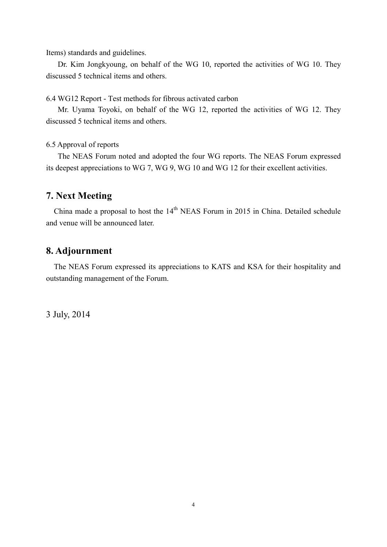Items) standards and guidelines.

 Dr. Kim Jongkyoung, on behalf of the WG 10, reported the activities of WG 10. They discussed 5 technical items and others.

6.4 WG12 Report - Test methods for fibrous activated carbon

Mr. Uyama Toyoki, on behalf of the WG 12, reported the activities of WG 12. They discussed 5 technical items and others.

6.5 Approval of reports

The NEAS Forum noted and adopted the four WG reports. The NEAS Forum expressed its deepest appreciations to WG 7, WG 9, WG 10 and WG 12 for their excellent activities.

### **7. Next Meeting**

China made a proposal to host the  $14<sup>th</sup>$  NEAS Forum in 2015 in China. Detailed schedule and venue will be announced later.

## **8. Adjournment**

The NEAS Forum expressed its appreciations to KATS and KSA for their hospitality and outstanding management of the Forum.

3 July, 2014